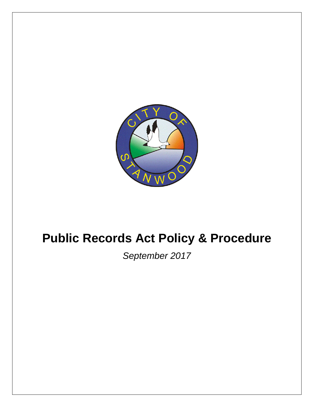

# **Public Records Act Policy & Procedure**

*September 2017*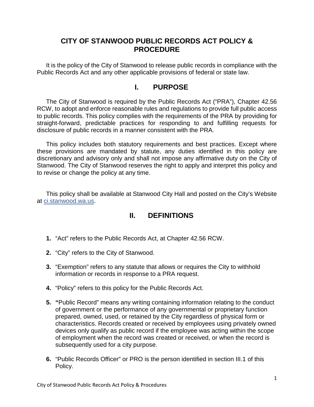# **CITY OF STANWOOD PUBLIC RECORDS ACT POLICY & PROCEDURE**

It is the policy of the City of Stanwood to release public records in compliance with the Public Records Act and any other applicable provisions of federal or state law.

# **I. PURPOSE**

The City of Stanwood is required by the Public Records Act ("PRA"), Chapter 42.56 RCW, to adopt and enforce reasonable rules and regulations to provide full public access to public records. This policy complies with the requirements of the PRA by providing for straight-forward, predictable practices for responding to and fulfilling requests for disclosure of public records in a manner consistent with the PRA.

This policy includes both statutory requirements and best practices. Except where these provisions are mandated by statute, any duties identified in this policy are discretionary and advisory only and shall not impose any affirmative duty on the City of Stanwood. The City of Stanwood reserves the right to apply and interpret this policy and to revise or change the policy at any time.

This policy shall be available at Stanwood City Hall and posted on the City's Website at ci.stanwood.wa.us.

# **II. DEFINITIONS**

- **1.** "Act" refers to the Public Records Act, at Chapter 42.56 RCW.
- **2.** "City" refers to the City of Stanwood.
- **3.** "Exemption" refers to any statute that allows or requires the City to withhold information or records in response to a PRA request.
- **4.** "Policy" refers to this policy for the Public Records Act.
- **5. "**Public Record" means any writing containing information relating to the conduct of government or the performance of any governmental or proprietary function prepared, owned, used, or retained by the City regardless of physical form or characteristics. Records created or received by employees using privately owned devices only qualify as public record if the employee was acting within the scope of employment when the record was created or received, or when the record is subsequently used for a city purpose.
- **6.** "Public Records Officer" or PRO is the person identified in section III.1 of this Policy.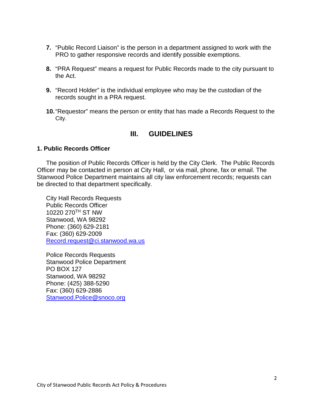- **7.** "Public Record Liaison" is the person in a department assigned to work with the PRO to gather responsive records and identify possible exemptions.
- **8.** "PRA Request" means a request for Public Records made to the city pursuant to the Act.
- **9.** "Record Holder" is the individual employee who may be the custodian of the records sought in a PRA request.
- **10.**"Requestor" means the person or entity that has made a Records Request to the City.

# **III. GUIDELINES**

# **1. Public Records Officer**

The position of Public Records Officer is held by the City Clerk. The Public Records Officer may be contacted in person at City Hall, [or via](mailto:%20or%20via) mail, phone, fax or email. The Stanwood Police Department maintains all city law enforcement records; requests can be directed to that department specifically.

City Hall Records Requests Public Records Officer 10220 270TH ST NW Stanwood, WA 98292 Phone: (360) 629-2181 Fax: (360) 629-2009 [Record.request@ci.stanwood.wa.us](mailto:Record.request@ci.stanwood.wa.us)

Police Records Requests Stanwood Police Department PO BOX 127 Stanwood, WA 98292 Phone: (425) 388-5290 Fax: (360) 629-2886 [Stanwood.Police@snoco.org](mailto:Stanwood.Police@snoco.org)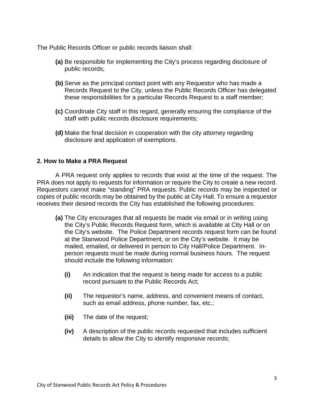The Public Records Officer or public records liaison shall:

- **(a)** Be responsible for implementing the City's process regarding disclosure of public records;
- **(b)** Serve as the principal contact point with any Requestor who has made a Records Request to the City, unless the Public Records Officer has delegated these responsibilities for a particular Records Request to a staff member;
- **(c)** Coordinate City staff in this regard, generally ensuring the compliance of the staff with public records disclosure requirements;
- **(d)** Make the final decision in cooperation with the city attorney regarding disclosure and application of exemptions.

# **2. How to Make a PRA Request**

A PRA request only applies to records that exist at the time of the request. The PRA does not apply to requests for information or require the City to create a new record. Requestors cannot make "standing" PRA requests. Public records may be inspected or copies of public records may be obtained by the public at City Hall. To ensure a requestor receives their desired records the City has established the following procedures:

- **(a)** The City encourages that all requests be made via email or in writing using the City's Public Records Request form, which is available at City Hall or on the City's website. The Police Department records request form can be found at the Stanwood Police Department, or on the City's website. It may be mailed, emailed, or delivered in person to City Hall/Police Department. Inperson requests must be made during normal business hours. The request should include the following information:
	- **(i)** An indication that the request is being made for access to a public record pursuant to the Public Records Act;
	- **(ii)** The requestor's name, address, and convenient means of contact, such as email address, phone number, fax, etc.;
	- **(iii)** The date of the request;
	- **(iv)** A description of the public records requested that includes sufficient details to allow the City to identify responsive records;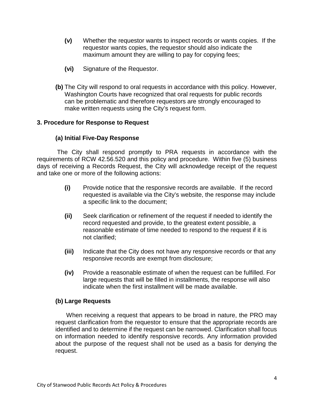- **(v)** Whether the requestor wants to inspect records or wants copies. If the requestor wants copies, the requestor should also indicate the maximum amount they are willing to pay for copying fees;
- **(vi)** Signature of the Requestor.
- **(b)** The City will respond to oral requests in accordance with this policy. However, Washington Courts have recognized that oral requests for public records can be problematic and therefore requestors are strongly encouraged to make written requests using the City's request form.

# **3. Procedure for Response to Request**

# **(a) Initial Five-Day Response**

The City shall respond promptly to PRA requests in accordance with the requirements of RCW 42.56.520 and this policy and procedure. Within five (5) business days of receiving a Records Request, the City will acknowledge receipt of the request and take one or more of the following actions:

- **(i)** Provide notice that the responsive records are available. If the record requested is available via the City's website, the response may include a specific link to the document;
- **(ii)** Seek clarification or refinement of the request if needed to identify the record requested and provide, to the greatest extent possible, a reasonable estimate of time needed to respond to the request if it is not clarified;
- **(iii)** Indicate that the City does not have any responsive records or that any responsive records are exempt from disclosure;
- **(iv)** Provide a reasonable estimate of when the request can be fulfilled. For large requests that will be filled in installments, the response will also indicate when the first installment will be made available.

# **(b) Large Requests**

When receiving a request that appears to be broad in nature, the PRO may request clarification from the requestor to ensure that the appropriate records are identified and to determine if the request can be narrowed. Clarification shall focus on information needed to identify responsive records. Any information provided about the purpose of the request shall not be used as a basis for denying the request.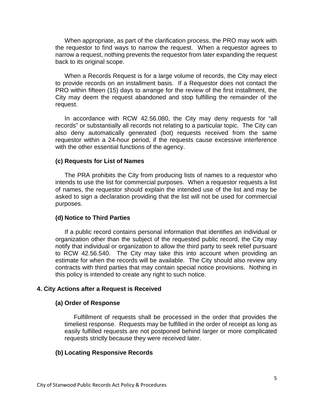When appropriate, as part of the clarification process, the PRO may work with the requestor to find ways to narrow the request. When a requestor agrees to narrow a request, nothing prevents the requestor from later expanding the request back to its original scope.

When a Records Request is for a large volume of records, the City may elect to provide records on an installment basis. If a Requestor does not contact the PRO within fifteen (15) days to arrange for the review of the first installment, the City may deem the request abandoned and stop fulfilling the remainder of the request.

In accordance with RCW 42.56.080, the City may deny requests for "all records" or substantially all records not relating to a particular topic. The City can also deny automatically generated (bot) requests received from the same requestor within a 24-hour period, if the requests cause excessive interference with the other essential functions of the agency.

## **(c) Requests for List of Names**

The PRA prohibits the City from producing lists of names to a requestor who intends to use the list for commercial purposes. When a requestor requests a list of names, the requestor should explain the intended use of the list and may be asked to sign a declaration providing that the list will not be used for commercial purposes.

## **(d) Notice to Third Parties**

If a public record contains personal information that identifies an individual or organization other than the subject of the requested public record, the City may notify that individual or organization to allow the third party to seek relief pursuant to RCW 42.56.540. The City may take this into account when providing an estimate for when the records will be available. The City should also review any contracts with third parties that may contain special notice provisions. Nothing in this policy is intended to create any right to such notice.

## **4. City Actions after a Request is Received**

#### **(a) Order of Response**

Fulfillment of requests shall be processed in the order that provides the timeliest response. Requests may be fulfilled in the order of receipt as long as easily fulfilled requests are not postponed behind larger or more complicated requests strictly because they were received later.

#### **(b) Locating Responsive Records**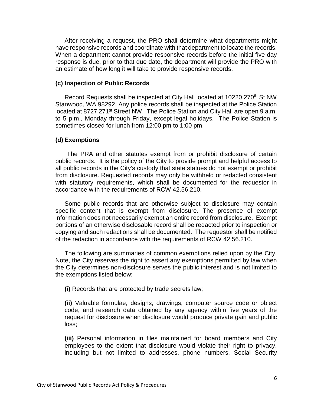After receiving a request, the PRO shall determine what departments might have responsive records and coordinate with that department to locate the records. When a department cannot provide responsive records before the initial five-day response is due, prior to that due date, the department will provide the PRO with an estimate of how long it will take to provide responsive records.

#### **(c) Inspection of Public Records**

Record Requests shall be inspected at City Hall located at 10220 270<sup>th</sup> St NW Stanwood, WA 98292. Any police records shall be inspected at the Police Station located at 8727 271<sup>st</sup> Street NW. The Police Station and City Hall are open 9 a.m. to 5 p.m., Monday through Friday, except legal holidays. The Police Station is sometimes closed for lunch from 12:00 pm to 1:00 pm.

#### **(d) Exemptions**

The PRA and other statutes exempt from or prohibit disclosure of certain public records. It is the policy of the City to provide prompt and helpful access to all public records in the City's custody that state statues do not exempt or prohibit from disclosure. Requested records may only be withheld or redacted consistent with statutory requirements, which shall be documented for the requestor in accordance with the requirements of RCW 42.56.210.

Some public records that are otherwise subject to disclosure may contain specific content that is exempt from disclosure. The presence of exempt information does not necessarily exempt an entire record from disclosure. Exempt portions of an otherwise disclosable record shall be redacted prior to inspection or copying and such redactions shall be documented. The requestor shall be notified of the redaction in accordance with the requirements of RCW 42.56.210.

The following are summaries of common exemptions relied upon by the City. Note, the City reserves the right to assert any exemptions permitted by law when the City determines non-disclosure serves the public interest and is not limited to the exemptions listed below:

**(i)** Records that are protected by trade secrets law;

**(ii)** Valuable formulae, designs, drawings, computer source code or object code, and research data obtained by any agency within five years of the request for disclosure when disclosure would produce private gain and public loss;

**(iii)** Personal information in files maintained for board members and City employees to the extent that disclosure would violate their right to privacy, including but not limited to addresses, phone numbers, Social Security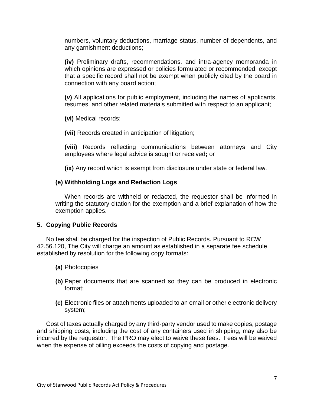numbers, voluntary deductions, marriage status, number of dependents, and any garnishment deductions;

**(iv)** Preliminary drafts, recommendations, and intra-agency memoranda in which opinions are expressed or policies formulated or recommended, except that a specific record shall not be exempt when publicly cited by the board in connection with any board action;

**(v)** All applications for public employment, including the names of applicants, resumes, and other related materials submitted with respect to an applicant;

**(vi)** Medical records;

**(vii)** Records created in anticipation of litigation;

**(viii)** Records reflecting communications between attorneys and City employees where legal advice is sought or received**;** or

**(ix)** Any record which is exempt from disclosure under state or federal law.

# **(e) Withholding Logs and Redaction Logs**

When records are withheld or redacted, the requestor shall be informed in writing the statutory citation for the exemption and a brief explanation of how the exemption applies.

# **5. Copying Public Records**

No fee shall be charged for the inspection of Public Records. Pursuant to RCW 42.56.120, The City will charge an amount as established in a separate fee schedule established by resolution for the following copy formats:

- **(a)** Photocopies
- **(b)** Paper documents that are scanned so they can be produced in electronic format;
- **(c)** Electronic files or attachments uploaded to an email or other electronic delivery system;

Cost of taxes actually charged by any third-party vendor used to make copies, postage and shipping costs, including the cost of any containers used in shipping, may also be incurred by the requestor. The PRO may elect to waive these fees. Fees will be waived when the expense of billing exceeds the costs of copying and postage.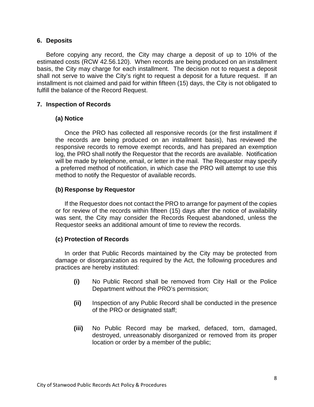## **6. Deposits**

Before copying any record, the City may charge a deposit of up to 10% of the estimated costs (RCW 42.56.120). When records are being produced on an installment basis, the City may charge for each installment. The decision not to request a deposit shall not serve to waive the City's right to request a deposit for a future request. If an installment is not claimed and paid for within fifteen (15) days, the City is not obligated to fulfill the balance of the Record Request.

# **7. Inspection of Records**

# **(a) Notice**

Once the PRO has collected all responsive records (or the first installment if the records are being produced on an installment basis), has reviewed the responsive records to remove exempt records, and has prepared an exemption log, the PRO shall notify the Requestor that the records are available. Notification will be made by telephone, email, or letter in the mail. The Requestor may specify a preferred method of notification, in which case the PRO will attempt to use this method to notify the Requestor of available records.

# **(b) Response by Requestor**

If the Requestor does not contact the PRO to arrange for payment of the copies or for review of the records within fifteen (15) days after the notice of availability was sent, the City may consider the Records Request abandoned, unless the Requestor seeks an additional amount of time to review the records.

# **(c) Protection of Records**

In order that Public Records maintained by the City may be protected from damage or disorganization as required by the Act, the following procedures and practices are hereby instituted:

- **(i)** No Public Record shall be removed from City Hall or the Police Department without the PRO's permission;
- **(ii)** Inspection of any Public Record shall be conducted in the presence of the PRO or designated staff;
- **(iii)** No Public Record may be marked, defaced, torn, damaged, destroyed, unreasonably disorganized or removed from its proper location or order by a member of the public;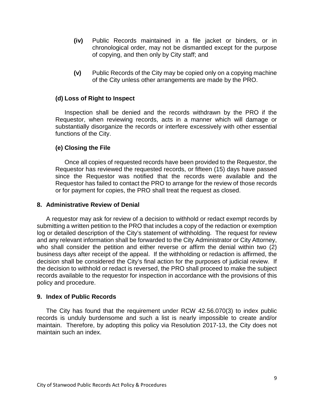- **(iv)** Public Records maintained in a file jacket or binders, or in chronological order, may not be dismantled except for the purpose of copying, and then only by City staff; and
- **(v)** Public Records of the City may be copied only on a copying machine of the City unless other arrangements are made by the PRO.

# **(d) Loss of Right to Inspect**

Inspection shall be denied and the records withdrawn by the PRO if the Requestor, when reviewing records, acts in a manner which will damage or substantially disorganize the records or interfere excessively with other essential functions of the City.

# **(e) Closing the File**

Once all copies of requested records have been provided to the Requestor, the Requestor has reviewed the requested records, or fifteen (15) days have passed since the Requestor was notified that the records were available and the Requestor has failed to contact the PRO to arrange for the review of those records or for payment for copies, the PRO shall treat the request as closed.

## **8. Administrative Review of Denial**

A requestor may ask for review of a decision to withhold or redact exempt records by submitting a written petition to the PRO that includes a copy of the redaction or exemption log or detailed description of the City's statement of withholding. The request for review and any relevant information shall be forwarded to the City Administrator or City Attorney, who shall consider the petition and either reverse or affirm the denial within two (2) business days after receipt of the appeal. If the withholding or redaction is affirmed, the decision shall be considered the City's final action for the purposes of judicial review. If the decision to withhold or redact is reversed, the PRO shall proceed to make the subject records available to the requestor for inspection in accordance with the provisions of this policy and procedure.

## **9. Index of Public Records**

The City has found that the requirement under RCW 42.56.070(3) to index public records is unduly burdensome and such a list is nearly impossible to create and/or maintain. Therefore, by adopting this policy via Resolution 2017-13, the City does not maintain such an index.